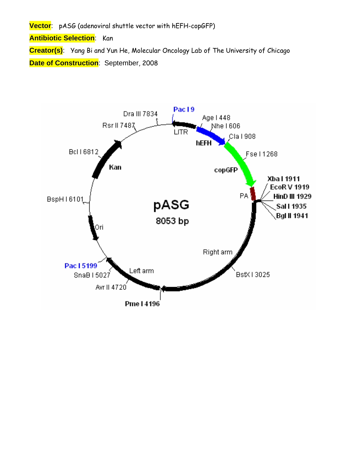**Vector**: pASG (adenoviral shuttle vector with hEFH-copGFP)

**Antibiotic Selection**: Kan

**Creator(s)**: Yang Bi and Yun He, Molecular Oncology Lab of The University of Chicago **Date of Construction**: September, 2008

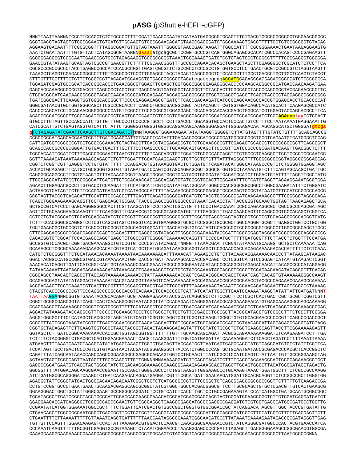## pASG (pShuttle-hEFH-cGFP)

NNNTTAATTAANNNTCCCTTCCAGCTCTCCGCCCTTTTGGATTGAAGCCAATATGATAATGAGGGGGTGGAGTTTGTGACGTGGCGCGGGGCGTGGAACGGGGC GGGTGACGTAGTAGTGTGCGGAAGTGTGATGTTGCAAGTGTGGCGGAACACATGTAAGCGACGGATGTGGCAAAAGTGACGTTTTTGGTGTGCGCCGGTGTACAC AGGAAGTGACAATTTTCGCGCGGTTTTAGGCGGATGTTGTAGTAAATTTGGGCGTAACCGAGTAAGATTTGGCCATTTTCGCGGAAAACTGAATAAGAGGAAGTG AAATCTGAATAATTTTGTGTTACTCATAGCGCGTAANNN<mark>Gaaac</mark>atgcagCGCTCCGGTGCCCGTCAGTGGGCAGAGCGCACATCGCCCACAGTCCCCGAGAAGTT GGGGGGAGGGTCGGCAATTGAACCGGTGCCTAGAGAAGGTGGCGGGGGTAAACTGGAAAGTGATGTCGTGTACTGGCTCCGCCTTTTTCCCGAGGGTGGGGA CGCGCCCGCCGCCCTACCTGAGGCCGCCATCCACGCCGGTTGAGTCGCGTTCTGCCGCCTCCCGCCTGTGGTGCCTCCTGAACTGCGTCCGCCGTCTAGGTAAGTT CTTTGTTTCGTTTTCTGTTCTGCGCCGTTACAGATCCAAGCTGTGACCGGCGCCTACatcgatccgcgg<mark>ACCATG</mark>GAGAGCGACGAGAGCGCCATGTGCCCGCCA TGGAGATCGAGTGCCGCATCACCGGCACCCTGAACGGCGTGGAGTTCGAGCTGGTGGCGGCGGAGAGGGCACCCCAAGCAGGCCCCATGACCAACAAGATGAA GAGCACCACACCORGAGAGA DE TORIGO CONTRACTO A CONTRAGO A CONTRACTO DE TODA CONTRACTO DE TODA DE TODA DE TODA DE T CTGCACGCCATCAACAACGGCGCTACACCAACACCCGCATCGAGAAGTACGAGGACGGCGGCGTGCTGCACGTGAGCTTCAGCTACCGCTACGAGGCCGCG TGATCGGCGACTTCAAGGTGGTGGCACCGGCTTCCCCCGAGGACAGCGTGATCTTCACCGACAAGATCATCCGCAGCAACGCCACCGTGGAGCACCTGCACCCCAT GGGCGATAACGTGCTGGTGGCAGCTTCGCCCGCACCTTCAGCCTGCGCGACGGCGGCTACTACAGCTTCGTGGTGGACAGCCACATGCACTTCAAGAGCGCCATC CACCCCAGCATCCTGCAGAACGGGGGCCCCATGTTCGCCTTCCGCCGCGTGGAGGAGCTGCACAGCAACACCGAGCTGGGCATCGTGGAGTACCAGCACGCCTTCA AGACCCCCATCGCCTTCGCCAGATCCCGCGCTCAGTCGTCCAATTCTGCCGTGGACGGCACCGGGACCCGGCTCCACCGGATCTCGC<mark>AGAtcc</mark>taaCCTCGACT CATCGCATTGTCTGAGTAGGTGTCATTCTATTCTGGGGGGTGGGGTGGGCAGGACAGCAAGGGGAGGATTGGGAAGACAATAGCAGGCATGCTGGGGATT <mark>CAGATCT</mark>NNNTAAGGGTGGGAAAGAATATATAAGGTGGGGGTCTTATGTAGTTTTGTATCTGTTTTGCAGCAGCCG g CCGCCGCCATGAGCACCAACTCGTTTGATGGAAGCATTGTGAGCTCATATTTGACAACGCGCATGCCCCCATGGGCCGGGGTGCGTCAGAATGTGATGGGCTCCAG  $\verb|CATTGATGGTCCCCGCTCCCTGCCCCAAACTCTACTACCTTGACCTACGAGACCGTGTCTGGAACGCCGTTGGAAGACCTGCAGCCTCCGCCGCCGCTTCAGCCGCTTCAGCCGCTTCAGCCGCTTCAGCCGCTTCAGCCGCTTCAGCCGCTTCAGCCGCTGCAGACGCCGCTGCAGACGCCGCTGACGACGCCGCTGCCGCCGCCGCTCACGACGCCGCTGCAGCCGCTGCCGCCGCCGCTCACGACGCCGCTGCAGCCGCTGCCGCCGCCGCCGCTGCCGCCGCTGCCGCCGCTGCCGCCGCTGCCGCCGCTGCCGCCGCCGCTGCCGCCGCC$ TGGCACAATTGGATTCTTTGACCCGGGAACTTAATGTCGTTTCTCAGCAGCTGTTGGATCTGCGCCAGCAGGTTTCTGCCCTGAAGGCTTCCTCCCCTCCCAATGC CGGTCTCGGTCGTTGAGGGTCCTGTGTATTTTTCCAGGACGTGGTAAAGGTGACTCTGGATGTTCAGATACATGGGCATAAGCCCGTCTCTGGGGTGGAGGTAGC ACCACTGCAGAGCTTCATGCTGCGGGGTGGTGTTGTAGATGATCCAGTCGTAGCAGGAGCGCTGGGCGTGGTCCTAAAAATGTCTTTCAGTAGCAAGCTGATTGC CAGGGGCAGGCCCTTGGTGTAAGTGTTTACAAAGCGGTTAAGCTGGGATGGGTGCATACGTGGGGATATGAGATGCATCTTGGACTGTATTTTTAGGTTGGCTATG TTCCCAGCCATATCCCTCCGGGGATTCATGTTGTGCAGAACCACCAGCACAGTGTATCCGGTGCACTTGGGAAATTTGTCATGTAGCTTAGAAGGAAATGCGTGGA AGAACTTGGAGACCCCCTTGTGAGCCCCCCAGATTTTCCATGCATTCGTCCATAATGATGGAGACCACACGGCGGCGGCCTGGAGGAGAGATTTTCGAGA GCGTAGTTACCCTCACAGATTTGCATTTCCCACGCTTTGAGTTCAGATGGGGGGATCATGTCTACCTGCGGGCGATGAAGAAAACGGTTTCCGGGGTAGGGGAGA TCAGCTGGGAAGAAAGCAGGTTCCTGAGCAGCTGCGACTTACCGCAGCCGGTGGGCCCGTAAATCACACCTATTACCGGGTGCAACTGGTAGTTAAGAGAGCTGCA GCTGCCGTCATCCCTGAGCAGGGGGCCCACTTCGTTAAGCATGTCCCTGACTCGCATGTTTTCCCTGACCAAATCCGCCAGAAGGCGCTCGCCGCCCAGCGATAGC AGTTCTTGCAAGGAAGCAAAGTTTTTCAACGGTTTGAGACCGTCCGCCGTAGGCATGCTTTTGAGCGTTTGACCAAGCAGTTCCAGGCGGTCCCACAGCTCGGTCA CCTGCTCTACGGCATCTCGATCCAGCATATCTCCTCGTTTCGCGGGTTGGGGCGGCTTTCGCTGTACGGCAGTAGTCGGTGCTCCTCCAGACGGGCCAGGGTCATG TCTTTCCACGGGCGCAGGGTCCTCGTCAGCGTAGTCTGGGTCACGGTGAAGGGGTGCGCTCCGGGCTGCGCCAGGGTGCGCTTGAGGCTGGTCCTGCTGG TGCTGAAGCGCTGCCGGTCTTCGCCCTGCGCGTCGGCCAGGTAGCATTTGACCATGGTGTCATAGTCCAGCCCCTCCGCGGCGTGGCCCTTGGCGCAGCTTGCC רידת האפטראריסטראראיסטראריבער איירידרים האפטריבית האפשרים באומיינים והאפשרים האפשרים האפטרים האפטרים האפשרים ה CAGACGGTCTCGCATTCCACGAGCCAGGTGAGCTCTGGCCGTTCGGGGTCAAAAACCAGGTTTCCCCCATGCTTTTTGATGCGTTTCTTACCTCTGGTTTCCATGA GCCGGTGTCCACGCTCGGTGACGAAAAGGCTGTCCGTGTCCCCGTATACAGACTNNNGTTTAAACGAATTCNNNTATAAAATGCAAGGTGCTGCTCAAAAAATCAG GCAAAGCCTCGCGCAAAAAAGGAAAGCACATCGTAGTCATGCTCATGCAGATAAAGGCAGGTAAGCTCCGGAACCACCACAGAAAAAGACACCATTTTTCTCTCAAA GGACTACGGCCATGCCGGCGTGACCGTAAAAAAACTGGTCACCGTGATTAAAAAGCACCGACACGGACACCTCCTCGGTCATGTCCGGAGTCATAATGTAAGACTCGGT TATAACAAAATTAATAGGAGAGAAAAACACATAAACACCTGAAAAACCCTCCTGCCTAGGCAAAATAGCACCCTCCCGCTCCAGAACAACATACAGCGCTTCACAG CGGCAGCCTAACAGTCAGCCTTACCAGTAAAAAAAGAAAACCTATTAAAAAAACACCACTCGACACGGCACCAGCTCAATCAGTCACAGTGTAAAAAAGGGCCAAGT ACCCACAACTTCCTCAAATCGTCACTTCCGTTTTCCCACGTTACGTAACTTCCCATTTTAAGAAAACTACAATTCCCAACACATACAAGTTACTCCGCCCTAAAAC CTACGTCACCCGCCCCCTTCCCACGCCCCCGCCCCCCCCACGTCACAAACTCCACCCCCTCATTATCATATTGGCTTCAATCCAAAATAAGGTATATTGATGATNNNT CGGCTGCGGCGAGCGGTATCAGCTCACTCAAAGGCGGTAATACGGTTATCCACAGAATCAGGGGATAACGCAGGAAAGAACATGTGAGCAAAAGGCCAACAAAAGG רא המאוצא מראים אגם אמנור מאומיים בריום מה מאוצרים מתוכנים מהמאונים מהוצאים אגם את המארים מרדים מבונים המאומים אמנור AGGACTATAAAGATACCAGGCGTTTCCCCCTGGAAGCTCCCTGGTGCGCTCTCCTGTTCCGACCCTGCCGCTTACCGGATACCTGTCCGCCTTTCTCCCTTCGGGA GCGCCTTATCCGGTAACTATCGTCTTGAGTCCAACCCGGTAAGACACGACTTATCGCCACTGGCAGCAGCACTGGTAACAGGATTAGCAGAGCGAGGTATGTAGG CGGTGCTACAGAGTTCTTGAAGTGGTGGCCTAACTACGGCTACACTAGAAGGACAGTATTTGGTATCTGCGCTCTGCTGAAGCCAGTTACCTTCGGAAAAAGAGTT TCTTTTCTACGGGGTCTGACGCTCAGTGGAACGAAAACTCACGTTAAGGGATTTTGGTCATGAGATTATCAAAAAGGATCTTCACCTAGATCCTTTTAAATTAAAA ATGAAGTTTTAAATCAATCTAAAGTATATATGAGTAAACTTGGTCTGACAGTTACCAATGCTTAATCAGTGAGGCACCTATCTCAGCGATCTGTCTATTTCGTTCA TCCATAGTTGCCTGACTCCCCGTCGTGTAGATAACTACGATACGGGAGGGCTTACCATCTGGCCCCAGTGCTGCAATGATACCGCGAGACCCACGCTCACCGGCTC AGTAAGTAGTTCGCCAGTTAATAGTTTGCGCAACGTTGTTGNNNNNNNAAAAAGGATCTTCACCTAGATCCTTTTCACGTAGAAAGCCAGTCCGCAGAAACGGTGCT GACCCCGGATGAATGTCAGCTACTGGCTATCTGGACAAGGGAAAACGCAAGCGCAAAGAGAAAGCAGGTAGCTTGCAGTGGGCTTACATGGCGATAGCTAGACTG GGCGGTTTTATGGACAGCAAGCGAACCGGAATTGCCAGCTGGGGCGCCCTCTGGTAAGGTTGGAAGCCCTGCAAAGTAAACTGGATGGCTTTCTCGCCGCCAAGG ATCTGATGGCGCAGGGGATCAAGCTCTGATCAAGAGACAGGATGAGGATCGTTTCGCATGATCAAGAAGATGGATTGCACGCAGGTTCTCCGGCCGCTTGGGTGG GGAAGGGACTGCTGCTATTGGGCGAAGTGCCGGGGCAGGATCTCCTGTCATCTCACCTTGCTCCTGCCGAGAAAGTATCCATCATGGCTGATGCAATGCGGCGGC GGACGAAGAGCATCAGGGGCTCGCGCCAGCCGAACTGTTCGCCAGGCTCAAGGCGAGCATGCCCGACGGCGAGGATCTCGTCGTCACCCATGGCGATGCCTGCTT CCGAATATCATGGTGGAAAATGGCCGCTTTTCTGGATTCATCGACTGTGGCCGGCTGGGTGTGGCGGACCGCTATCAGGACATAGCGTTGGCTACCCGTGATATTG CTGAAGAGCTTGGCGGCGAATGGGCTGACCGCTTCCTCGTGCTTTACGGTATCGCCGCTCCCGATTCGAGCGCATCGCCTTCTATCGCCTTCTTGACGAGTTCTT CTGAATTTTGTTAAAATTTTGTTAAATCAGCTCATTTTTAACCAATAGGCCGAAATCGGCAACATCCCTTATAAATCAAAAGAATAGACCGCGATAGGGTTGAG TGTTGTTCCAGTTTGGAACAAGAGTCCACTATTAAAGAACGTGGACTCCAACGTCAAAGGGCGAAAAACCGTCTATCAGGGCGATGGCCCACTACGTGAACCATCA רללא ארידידידידידררגראנגריה אנגריה את האריך האוויריה את המוכן את המוכן את המילומים היידים האנגריה את המוכן האת המוכן האנגריה את המוכן האנגריה את המוכן האנגריה את המוכן האנגריה את המוכן האנגריה את המוכן האנגריה את המוכן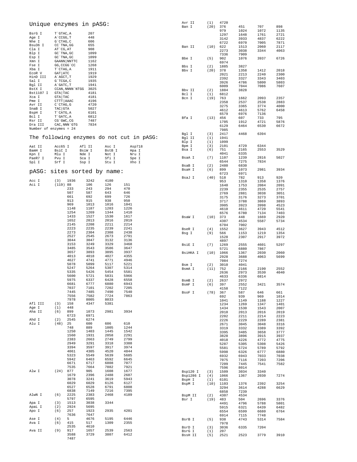| Unique enzymes in pASG:                   |                          |                  |                       |                |                | Avr II<br>Ban I       | (1)<br>(20) | 4720<br>376  | 451          | 707          | 898          |
|-------------------------------------------|--------------------------|------------------|-----------------------|----------------|----------------|-----------------------|-------------|--------------|--------------|--------------|--------------|
| BsrG I                                    | T`GTAC, A                |                  | 207                   |                |                |                       |             | 979<br>1297  | 1024<br>1648 | 1072<br>1761 | 1135<br>2721 |
| Age I                                     | A`CCGG, T                |                  | 448                   |                |                |                       |             | 3142         | 3933         | 4837         | 6222         |
| Nhe I<br>Bsu36 I                          | G`CTAG, C<br>CC `TNA, GG |                  | 606<br>655            |                |                |                       |             | 6722         | 6970         | 7005         | 7871         |
| Cla I                                     | AT CG, AT                |                  | 908                   |                |                | Ban II                | (10)        | 622          | 1513         | 2060         | 2117         |
| Blp I                                     | GC TNA, GC               |                  | 1099                  |                |                |                       |             | 2273<br>7336 | 3038<br>7909 | 3344         | 4063         |
| Esp I<br>Xmn I                            | GC `TNA, GC              | GAANN NNTTC      | 1099<br>1162          |                |                | Bbe I                 | (5)         | 902<br>6974  | 1076         | 3937         | 6726         |
| Fse I                                     | GG, CCGG 'CC             |                  | 1268                  |                |                | Bbs I                 | (2)         | 1885         | 3827         |              |              |
| Xba I<br>ECOR V                           | T`CTAG, A<br>GAT ATC     |                  | 1911<br>1919          |                |                | Bby I                 | (20)        | 378          | 1358         | 1412         | 2018         |
| HinD III                                  | A`AGCT, T                |                  | 1929                  |                |                |                       |             | 2021         | 2213         | 2240         | 2300         |
| Sal I                                     | G`TCGA, C                |                  | 1935                  |                |                |                       |             | 2392<br>3926 | 3327<br>4786 | 3343<br>5800 | 3403<br>5803 |
| Bgl II                                    | A GATC, T                |                  | 1941                  |                |                |                       |             | 6009         | 7044         | 7086         | 7607         |
| BstX I                                    |                          | CCAN, NNNN `NTGG | 3025                  |                |                | Bbv II                | (2)         | 1884         | 3828         |              |              |
| Bst1107 I<br>Xca I                        | GTA TAC                  |                  | 4181                  |                |                | Bcl I                 | (1)         | 6812         |              |              |              |
| Pme I                                     | GTA TAC<br>CTTT AAAC     |                  | 4181<br>4196          |                |                | Bcn I                 | (19)        | 763          | 1662         | 2093         | 2357         |
| Avr II                                    | $C$ $CTAG$ , $G$         |                  | 4720                  |                |                |                       |             | 2358<br>3275 | 2537<br>3365 | 2538<br>3774 | 2883<br>4000 |
| SnaB I                                    | $TAC$ GTA                |                  | 5027                  |                |                |                       |             | 4612         | 4613         | 5762         | 6458         |
| BspH I                                    | T CATG, A                |                  | 6101                  |                |                |                       |             | 6579         | 6976         | 7136         |              |
| Bcl I                                     | T`GATC, A                |                  | 6812                  |                |                | Bfa I                 | (13)        | 456          | 607          | 733          | 795          |
| Rsr II<br>Dra III                         | CG`GWC, CG               | CAC, NNN `GTG    | 7487<br>7834          |                |                |                       |             | 1705         | 1912         | 4721         | 5876         |
| Number of enzymes = $24$                  |                          |                  |                       |                |                |                       |             | 6129<br>7985 | 6464         | 6530         | 6672         |
|                                           |                          |                  |                       |                |                | Bgl I                 | (3)         | 2417         | 4468         | 6394         |              |
| The following enzymes do not cut in pASG: |                          |                  |                       |                |                | Bgl II                | (1)         | 1941         |              |              |              |
|                                           |                          |                  |                       |                |                | Blp I                 | (1)         | 1099         |              |              |              |
| Aat II                                    | Acc65 I                  |                  | Afl II                | Asc I          | Asp718         | Bpm I                 | (3)         | 2101         | 4729         | 6344         |              |
| BamH I                                    | BsiC I                   |                  | BsiW I                | BstB I         | Hpa I          | Bsa I                 | (6)         | 751<br>4041  | 2165<br>6335 | 2553         | 3529         |
| Kpn I<br>PaeR7 I                          | Mlu I<br>Pvu I           |                  | Nde I<br>Sca I        | Not I<br>Sfi I | Nru I<br>Spe I | BsaA I                | (7)         | 1107         | 1239         | 2816         | 5027         |
| Spl I                                     | Srf I                    |                  | Ssp I                 | Stu I          | Xho I          |                       |             | 6544         | 7275         | 7834         |              |
|                                           |                          |                  |                       |                |                | BsaB I                | (2)         | 2480         | 6830         |              |              |
| pASG:                                     |                          |                  | sites sorted by name: |                |                | BsaH I                | (6)         | 899          | 1073         | 2981         | 3934         |
|                                           |                          |                  |                       |                |                | BsaJ I                | (40)        | 6723<br>518  | 6971<br>782  | 913          | 920          |
| Acc I                                     | (3)                      | 1936             | 3242                  | 4180           |                |                       |             | 953          | 1310         | 1358         | 1376         |
| Aci I                                     | (119) 88                 |                  | 106                   | 126            | 151            |                       |             | 1640         | 1753         | 2084         | 2091         |
|                                           |                          | 233              | 243                   | 294            | 470            |                       |             | 2239         | 2355         | 2535         | 2757         |
|                                           |                          | 507<br>661       | 587<br>692            | 643<br>699     | 646<br>726     |                       |             | 2769         | 2881         | 3038         | 3051         |
|                                           |                          | 913              | 915                   | 938            | 950            |                       |             | 3175<br>3717 | 3176<br>3788 | 3273<br>3869 | 3701<br>3893 |
|                                           |                          | 969              | 1013                  | 1016           | 1041           |                       |             | 3905         | 3923         | 3998         | 4523         |
|                                           |                          | 1148             | 1187                  | 1203           | 1226           |                       |             | 4610         | 4611         | 4720         | 5541         |
|                                           |                          | 1254             | 1269                  | 1344           | 1410           |                       |             | 6576         | 6780         | 7134         | 7403         |
|                                           |                          | 1433<br>1652     | 1527<br>2013          | 1530<br>2016   | 1617<br>2019   | BsaW I                | (10)        | 373          | 448          | 1669         | 2920         |
|                                           |                          | 2145             | 2208                  | 2211           | 2214           |                       |             | 4307<br>6704 | 4534<br>7002 | 5587         | 5734         |
|                                           |                          | 2223             | 2235                  | 2239           | 2241           | BseR I                | (4)         | 1552         | 3627         | 3943         | 4512         |
|                                           |                          | 2273             | 2304                  | 2308           | 2438           | Bsg I                 | (9)         | 566          | 1153         | 1219         | 1354         |
|                                           |                          | 2527             | 2545                  | 2673           | 2791           |                       |             | 1528         | 2307         | 2917         | 3972         |
|                                           |                          | 3044<br>3153     | 3047<br>3249          | 3132<br>3329   | 3136<br>3468   |                       |             | 4897         |              |              |              |
|                                           |                          | 3485             | 3543                  | 3586           | 3647           | BsiE I                | (7)         | 1269<br>5721 | 2555<br>6880 | 4601<br>7867 | 5297         |
|                                           |                          | 3657             | 3893                  | 3895           | 3937           | BsiHKA I              | (10)        | 1066         | 1367         | 2030         | 2060         |
|                                           |                          | 4013             | 4018                  | 4027           | 4355           |                       |             | 2928         | 3688         | 4063         | 5699         |
|                                           |                          | 4627<br>5078     | 4741<br>5099          | 4771<br>5117   | 4946<br>5221   |                       |             | 7084         | 7274         |              |              |
|                                           |                          | 5247             | 5264                  | 5307           | 5314           | Bsm I<br>BsmA I       | (2)<br>(11) | 3010<br>752  | 4041<br>2166 | 2190         | 2552         |
|                                           |                          | 5335             | 5426                  | 5454           | 5581           |                       |             | 2636         | 2973         | 3530         | 4040         |
|                                           |                          | 5600             | 5721                  | 5831           | 5966           |                       |             | 4633         | 6336         | 6814         |              |
|                                           |                          | 5975             | 6337                  | 6428           | 6558           | BsmB I                | (2)         | 2637         | 2972         |              |              |
|                                           |                          | 6681<br>7037     | 6777<br>7101          | 6880<br>7202   | 6943<br>7205   | BsmF I                | (6)         | 397<br>4158  | 2552<br>7122 | 3421         | 3574         |
|                                           |                          | 7445             | 7485                  | 7490           | 7540           | BsoF I                | (78)        | 367          | 587          | 646          | 661          |
|                                           |                          | 7556             | 7582                  | 7724           | 7863           |                       |             | 692          | 939          | 969          | 1014         |
|                                           |                          | 7978             | 8005                  | 8033           |                |                       |             | 1041         | 1149         | 1188         | 1227         |
| Afl III<br>Age I                          | (3)<br>(1)               | 158<br>448       | 4347                  | 5381           |                |                       |             | 1234         | 1269         | 1347         | 1401         |
| Aha II                                    | (6)                      | 899              | 1073                  | 2981           | 3934           |                       |             | 1434<br>2010 | 1530<br>2013 | 1543<br>2016 | 2007<br>2019 |
|                                           |                          | 6723             | 6971                  |                |                |                       |             | 2202         | 2211         | 2214         | 2223         |
| Ahd I                                     | (2)                      | 2545             | 6274                  |                |                |                       |             | 2226         | 2229         | 2289         | 2381         |
| Alu I                                     | (48)                     | 25<br>748        | 600<br>889            | 606<br>1005    | 610<br>1244    |                       |             | 2671         | 3045         | 3048         | 3316         |
|                                           |                          | 1250             | 1403                  | 1445           | 1542           |                       |             | 3319<br>3395 | 3332<br>3485 | 3389<br>3658 | 3392<br>3777 |
|                                           |                          | 1560             | 1931                  | 2058           | 2291           |                       |             | 3828         | 3896         | 3915         | 3937         |
|                                           |                          | 2383             | 2663                  | 2749           | 2799           |                       |             | 4018         | 4226         | 4772         | 4775         |
|                                           |                          | 2949             | 3291                  | 3318           | 3388           |                       |             | 5287         | 5305         | 5308         | 5426         |
|                                           |                          | 3394<br>4061     | 3597<br>4305          | 3917<br>4520   | 3974<br>4844   |                       |             | 5581<br>5998 | 5724<br>6326 | 5789<br>6777 | 5792<br>6880 |
|                                           |                          | 5323             | 5549                  | 5639           | 5685           |                       |             | 6932         | 6943         | 7033         | 7038         |
|                                           |                          | 5942             | 6463                  | 6592           | 6645           |                       |             | 7075         | 7116         | 7203         | 7206         |
|                                           |                          | 6671             | 6717                  | 6808           | 7077           |                       |             | 7209         | 7445         | 7541         | 7582         |
| Alw I                                     | (24)                     | 7535<br>877      | 7664<br>905           | 7882<br>1608   | 7921<br>1677   |                       |             | 7596         | 8014         |              |              |
|                                           |                          | 1679             | 2396                  | 2488           | 2687           | Bsp120 I<br>Bsp1286 I | (3)<br>(4)  | 1509<br>1066 | 3034<br>1367 | 3340<br>2030 | 7274         |
|                                           |                          | 3078             | 3241                  | 3619           | 5943           | BspH I                | (1)         | 6101         |              |              |              |
|                                           |                          | 6029             | 6029                  | 6126           | 6127           | BspM I                | (10)        | 1103         | 1376         | 2392         | 3254         |
|                                           |                          | 6527             | 6528                  | 6791           | 6808           |                       |             | 3294         | 3614         | 4288         | 6629         |
| AlwN I                                    | (6)                      | 6838<br>2225     | 7149<br>2383          | 7216<br>2468   | 7395<br>4189   |                       |             | 6858         | 7239         |              |              |
|                                           |                          | 5797             | 6595                  |                |                | BspM II<br>Bsr I      | (2)<br>(19) | 4307<br>483  | 4534<br>504  | 2696         | 3376         |
| Apa I                                     | (3)                      | 1513             | 3038                  | 3344           |                |                       |             | 4491         | 4796         | 5788         | 5801         |
| ApaL I                                    | (2)                      | 2924             | 5695                  |                |                |                       |             | 5915         | 6321         | 6439         | 6482         |
| Apo I                                     | (6)                      | 257<br>7636      | 1923<br>7647          | 2935           | 4201           |                       |             | 6554         | 6599         | 6680         | 6764         |
| Ase I                                     | (4)                      | 5                | 4676                  | 5195           | 6446           | BsrB I                | (5)         | 6914<br>938  | 7115<br>4743 | 7748<br>5314 | 7584         |
| Ava I                                     | (6)                      | 415              | 517                   | 1309           | 2355           |                       |             | 7978         |              |              |              |
|                                           |                          | 2535             | 4610                  |                |                | BsrD I                | (3)         | 3036         | 6335         | 7204         |              |
| Ava II                                    | (9)                      | 917              | 1657                  | 2539           | 2563           | BsrG I                | (1)         | 207          |              |              |              |
|                                           |                          | 3588<br>7487     | 3729                  | 3807           | 6412           | BssH II               | (5)         | 2521         | 2523         | 3779         | 3910         |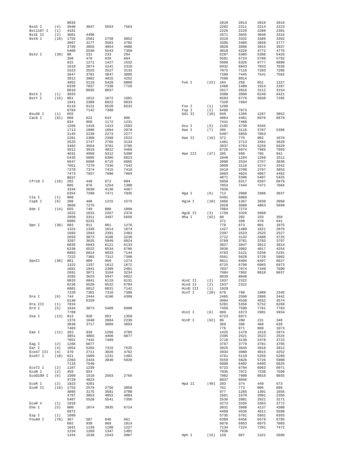|                  |             | 8035                |              |             |              |                  |             | 2010         | 2013         | 2016         | 2019         |
|------------------|-------------|---------------------|--------------|-------------|--------------|------------------|-------------|--------------|--------------|--------------|--------------|
| BssS I           | (4)         | 3940                | 4047         | 5554        | 7563         |                  |             | 2202         | 2211         | 2214         | 2223         |
| Bst1107 I        | (1)         | 4181                |              |             |              |                  |             | 2226         | 2229         | 2289         | 2381         |
| BstE II          | (2)         | 3601                | 4490         |             |              |                  |             | 2671         | 3045         | 3048         | 3316         |
| BstN I           | (16)        | 1755                | 2581         | 2758        | 3052         |                  |             | 3319         | 3332         | 3389         | 3392         |
|                  |             | 3097                | 3177         | 3583        | 3702         |                  |             | 3395         | 3485         | 3658         | 3777         |
|                  |             | 3789                | 3855         | 4054        | 4086         |                  |             | 3828         | 3896         | 3915         | 3937         |
|                  |             | 5409                | 5530         | 5543        | 7358         |                  |             | 4018         | 4226         | 4772         | 4775         |
| BstU I           | (39)        | 88                  | 231          | 233         | 294          |                  |             | 5287         | 5305         | 5308         | 5426         |
|                  |             | 350                 | 470          | 639         | 684          |                  |             | 5581         | 5724         | 5789         | 5792         |
|                  |             | 915                 | 1271         | 1427        | 1532         |                  |             | 5998         | 6326         | 6777         | 6880         |
|                  |             | 1619                | 2074         | 2241        | 2310         |                  |             | 6932         | 6943         | 7033         | 7038         |
|                  |             | 2523                | 2525         | 2527        | 3132         |                  |             | 7075         | 7116         | 7203         | 7206         |
|                  |             | 3647                | 3781         | 3847        | 3895         |                  |             | 7209         | 7445         | 7541         | 7582         |
|                  |             | 3912                | 3982         | 4015        | 4252         |                  |             | 7596         | 8014         |              |              |
|                  |             | 4952                | 5119         | 5428        | 6009         | Fok I            | $(22)$ 184  |              | 258          | 651          | 1327         |
|                  |             | 6339                | 7037         | 7338        | 7726         |                  |             | 1468         | 1480         | 1914         | 2287         |
|                  |             | 8018                | 8035         | 8037        |              |                  |             | 2617         | 2816         | 3112         | 3154         |
| BstX I           | (1)         | 3025                |              |             |              |                  |             | 3388         | 3996         | 6240         | 6421         |
| BstY I           | (15)        | 881                 | 1612         | 1672        | 1681         |                  |             | 6593         | 6776         | 6838         | 7295         |
|                  |             | 1941                | 2389         | 6022        | 6033         |                  |             | 7320         | 7684         |              |              |
|                  |             | 6119                | 6131         | 6520        | 6532         | Fse I            | (1)         | 1268         |              |              |              |
|                  |             | 6784                | 7142         | 7388        |              | Fsp I            | (2)         | 6496         | 7073         |              |              |
| Bsu36 I          | (1)         | 655                 |              |             |              | Gdi II           | (10)        | 940          | 1265         | 1267         | 3852         |
| Cac8 I           | (61)        | 608                 | 622          | 643         | 806          |                  |             | 4064         | 4461         | 6876         | 6878         |
|                  |             | 834                 | 950          | 1172        | 1231         |                  |             | 7441         | 7468         |              |              |
|                  |             | 1266                | 1410         | 1423        | 1583         | Gsu I            | (3)         | 2102         | 4730         | 6345         |              |
|                  |             | 1713                | 1890         | 1894        | 2078         | Hae I            | (7)         | 285          | 3116         | 3787         | 5396         |
|                  |             | 2145                | 2239         | 2273        | 2277         |                  |             | 5407         | 5859         | 7053         |              |
|                  |             | 2281                | 2308         | 2399        | 2523         | Hae II           | (16)        | 372          | 779          | 902          | 1076         |
|                  |             | 2525                | 2747         | 2765        | 3134         |                  |             | 1481         | 2713         | 3481         | 3828         |
|                  |             | 3482                | 3554         | 3781        | 3785         |                  |             | 3937         | 4764         | 5259         | 5629         |
|                  |             | 3912                | 3919         | 4022        | 4469         |                  |             | 6726         | 6974         | 7985         | 7993         |
|                  |             | 4631                | 4950         | 5312        | 5398         | Hae III          | (37)        | 285          | 660          | 765          | 941          |
|                  |             | 5435                | 5995         | 6386        | 6623         |                  |             | 1040         | 1264         | 1268         | 1511         |
|                  |             | 6647                | 6698         | 6715        | 6865         |                  |             | 2090         | 2534         | 2767         | 3036         |
|                  |             | 7051                | 7270         | 7336        | 7342         |                  |             | 3050         | 3116         | 3174         | 3342         |
|                  |             | 7370                | 7374         | 7415        | 7419         |                  |             | 3419         | 3700         | 3787         | 3853         |
|                  |             | 7473                | 7937         | 7980        | 7994         |                  |             | 3903         | 4024         | 4067         | 4462         |
|                  |             | 8037                |              |             |              |                  |             | 4871         | 5396         | 5407         | 5425         |
| Cfr10 I          | (16)        | 202                 | 448          | 672         | 804          |                  |             | 5859         | 6317         | 6397         | 6879         |
|                  |             | 895                 | 976          | 1264        | 1300         |                  |             | 7053         | 7444         | 7471         | 7684         |
|                  |             | 3334                | 3830         | 4136        | 4467         |                  |             | 7826         |              |              |              |
|                  |             | 6354                | 7290         | 7471        | 7935         | Hga I            | (6)         | 712          | 2088         | 2988         | 3837         |
| Cla I<br>Csp6 I  | (1)<br>(6)  | 908                 |              |             |              |                  |             | 5491         | 6069         |              | 2060         |
|                  |             | 208                 | 498          | 1215        | 1575         | HgiA I           |             | $(10)$ 1066  | 1367         | 2030         |              |
|                  |             | 3669                | 7276         |             |              |                  |             | 2928         | 3688         | 4063         | 5699         |
| Dde I            | (14)        | 655<br>1622         | 749          | 800<br>2267 | 1099<br>2376 |                  |             | 7084<br>1750 | 7274         |              |              |
|                  |             | 2950                | 1815<br>3311 |             | 5656         | HgiE II<br>Hha I | (3)<br>(62) |              | 3326<br>202  | 5960<br>233  | 350          |
|                  |             |                     |              | 3407        |              |                  |             | 88<br>371    |              | 470          |              |
|                  | (36)        | 6065<br>883         | 6231<br>911  | 961         | 1276         |                  |             | 778          | 398<br>873   | 901          | 641<br>1075  |
| Dpn I            |             | 1324                | 1339         | 1614        | 1674         |                  |             | 1427         | 1480         | 1621         | 2076         |
|                  |             | 1683                | 1943         | 2391        | 2483         |                  |             | 2397         | 2523         | 2525         | 2527         |
|                  |             | 2693                | 3073         | 3106        | 3236         |                  |             | 2712         | 3132         | 3480         | 3725         |
|                  |             | 3287                | 3625         | 5949        | 6024         |                  |             | 3769         |              |              | 3797         |
|                  |             | 6035                | 6043         | 6121        | 6133         |                  |             | 3827         | 3781<br>3847 | 3783<br>3912 | 3914         |
|                  |             | 6238                | 6522         | 6534        | 6786         |                  |             | 3936         | 3982         | 4017         | 4254         |
|                  |             | 6803                | 6814         | 6833        | 7144         |                  |             | 4763         | 5121         | 5258         | 5291         |
|                  |             | 7222                | 7303         | 7312        | 7390         |                  |             | 5561         | 5628         | 5728         | 5902         |
| DpnII            | (36) 881    |                     | 909          | 959         | 1274         |                  |             | 6011         | 6404         | 6497         | 6627         |
|                  |             | 1322                | 1337         | 1612        | 1672         |                  |             | 6725         | 6796         | 6965         | 6973         |
|                  |             | 1681                | 1941         | 2389        | 2481         |                  |             | 7037         | 7074         | 7340         | 7600         |
|                  |             | 2691                | 3071         | 3104        | 3234         |                  |             | 7984         | 7992         | 8018         | 8037         |
|                  |             | 3285                | 3623         | 5947        | 6022         |                  |             | 8039         | 8048         |              |              |
|                  |             | 6033                | 6041         | 6119        | 6131         | HinC II          | (2)         | 1937         | 2322         |              |              |
|                  |             | 6236                | 6520         | 6532        | 6784         | Hind II          | (2)         | 1937         | 2322         |              |              |
|                  |             | 6801                | 6812         | 6831        | 7142         | HinD III         | (1)         | 1929         |              |              |              |
|                  |             | 7220                | 7301         | 7310        | 7388         | Hinf I           | $(20)$ 679  |              | 798          | 1908         | 2345         |
| Dra I            | (6)         | 744                 | 2444         | 4196        | 4399         |                  |             | 2465         | 2598         | 2886         | 3442         |
|                  |             | 6140                | 6159         |             |              |                  |             | 3994         | 4538         | 4552         | 4574         |
| Dra III          | (1)         | 7834                |              |             |              |                  |             | 5281         | 5356         | 5752         | 6269         |
| Drd I            | (5)         | 1944                | 3873         | 5489        | 6998         |                  |             | 7456         | 7590         | 7761         | 7783         |
|                  |             | 7789                |              |             |              | HinI I           | (6)         | 899          | 1073         | 2981         | 3934         |
| Dsa I            | $(13)$ 913  |                     | 920          | 953         | 1358         |                  |             | 6723         | 6971         |              |              |
|                  |             | 1376                | 1640         | 2084        | 2239         | HinP I           | (62)        | 86           | 200          | 231          | 348          |
|                  |             | 3038                | 3717         | 3869        | 3893         |                  |             | 369          | 396          | 468          | 639          |
|                  |             | 7403                |              |             |              |                  |             | 776          | 871          | 899          | 1073         |
| Eae I            | (11)        | 283                 | 939          | 1266        | 3785         |                  |             | 1425         | 1478         | 1619         | 2074         |
|                  |             | 3851                | 4065         | 4460        | 6877         |                  |             | 2395         | 2521         | 2523         | 2525         |
|                  |             | 7051                | 7442         | 7469        |              |                  |             | 2710         | 3130         | 3478         | 3723         |
| Eag I            | (2)         | 1266                | 6877         |             |              |                  |             | 3767         | 3779         | 3781         | 3795         |
| Ear I            | (4)         | 1054                | 5265         | 7315        | 7525         |                  |             | 3825         | 3845         | 3910         | 3912         |
| Eco47 III        | (4)         | 370                 | 2711         | 3826        | 4762         |                  |             | 3934         | 3980         | 4015         | 4252         |
| Eco57 I          | $(10)$ 621  |                     | 1069         | 1231        | 1402         |                  |             | 4761         | 5119         | 5256         | 5289         |
|                  |             | 2203                | 2434         | 3840        | 5928         |                  |             | 5559         | 5626         | 5726         | 5900         |
|                  |             | 7116                | 7548         |             |              |                  |             | 6009         | 6402         | 6495         | 6625         |
| Eco72 I          | (2)         | 1107                | 1239         |             |              |                  |             | 6723         | 6794         | 6963         | 6971         |
| ECON I           | (2)         | 459                 | 654          |             |              |                  |             | 7035         | 7072         | 7338         | 7598         |
| Eco0109 I        | (6)         | 1509                | 1510         | 2563        | 2766         |                  |             | 7982         | 7990         | 8016         | 8035         |
|                  |             | 3729                | 4023         |             |              |                  |             | 8037         | 8046         |              |              |
| ECOR I           | (2)         | 1923                | 4201         |             | 3050         | Hpa II           | (49)        | 203          | 374          | 449<br>805   | 673<br>896   |
| ECOR II          |             | $(16)$ 1753<br>3095 | 2579         | 2756        |              |                  |             | 761          | 773          |              |              |
|                  |             |                     | 3175         | 3581        | 3700         |                  |             | 977          | 1265         | 1301         | 1655         |
|                  |             | 3787                | 3853         | 4052        | 4084         |                  |             | 1661         | 1670         | 2091         | 2356         |
|                  |             | 5407                | 5528         | 5541        | 7356         |                  |             | 2536         | 2881         | 2921         | 3171         |
| ECOR V           | (1)         | 1919                |              |             |              |                  |             | 3273         | 3335         | 3363         | 3772         |
| Ehe I            | (5)         | 900                 | 1074         | 3935        | 6724         |                  |             | 3831         | 3998         | 4137         | 4308         |
|                  |             | 6972                |              |             |              |                  |             | 4468         | 4535         | 4611         | 5588         |
| Esp I<br>Fnu4H I | (1)<br>(78) | 1099                | 587          | 646         | 661          |                  |             | 5735         | 5761         | 5951         | 6355<br>6705 |
|                  |             | 367<br>692          | 939          | 969         | 1014         |                  |             | 6389<br>6876 | 6456<br>6953 | 6578<br>6975 | 7003         |
|                  |             | 1041                | 1149         | 1188        | 1227         |                  |             | 7134         | 7224         | 7291         | 7472         |
|                  |             | 1234                | 1269         | 1347        | 1401         |                  |             | 7936         |              |              |              |
|                  |             | 1434                | 1530         | 1543        | 2007         | Hph I            | $(15)$ 120  |              | 967          | 1321         | 2606         |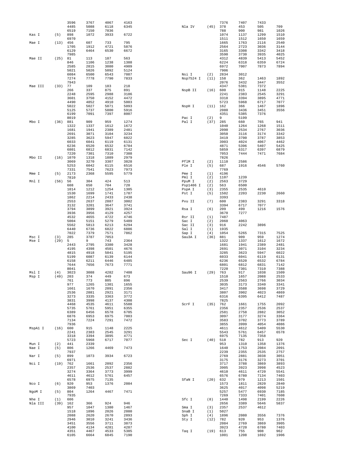|                |      | 3596                | 3767         | 4067         | 4163         |                    |             | 7376         | 7407         | 7433         |              |
|----------------|------|---------------------|--------------|--------------|--------------|--------------------|-------------|--------------|--------------|--------------|--------------|
|                |      | 4485                | 5088         | 6118         | 6345         | Nla IV             | (45)        | 378          | 453          | 505          | 709          |
| Kas I          | (5)  | 6519<br>898         | 7150<br>1072 | 7836<br>3933 | 6722         |                    |             | 788<br>1074  | 900<br>1137  | 981<br>1299  | 1026<br>1510 |
|                |      | 6970                |              |              |              |                    |             | 1511         | 1512         | 1650         | 1659         |
| Mae I          | (13) | 456                 | 607          | 733          | 795          |                    |             | 1665         | 1763         | 2116         | 2540         |
|                |      | 1705                | 1912         | 4721         | 5876         |                    |             | 2564         | 2723         | 3036         | 3144         |
|                |      | 6129<br>7985        | 6464         | 6530         | 6672         |                    |             | 3165<br>3590 | 3308<br>3730 | 3342<br>3935 | 3418<br>4025 |
| Mae II         | (25) | 81                  | 113          | 187          | 563          |                    |             | 4312         | 4839         | 5413         | 5452         |
|                |      | 846                 | 1106         | 1238         | 1388         |                    |             | 6224         | 6318         | 6359         | 6724         |
|                |      | 2585                | 2815         | 3080         | 4909         |                    |             | 6972         | 7007         | 7873         | 7894         |
|                |      | 5021                | 5026         | 5092         | 5124         |                    |             | 7906         |              |              |              |
|                |      | 6084<br>7274        | 6500<br>7778 | 6543<br>7790 | 7087<br>7833 | Nsi I<br>Nsp7524 I | (2)<br>(11) | 2834<br>158  | 3012<br>362  | 1463         | 1892         |
|                |      | 7943                |              |              |              |                    |             | 2076         | 3432         | 3447         | 3552         |
| Mae III        | (33) | 77                  | 109          | 183          | 218          |                    |             | 4347         | 5381         | 7372         |              |
|                |      | 266                 | 337          | 875          | 891          | NspB II            | (16)        | 600          | 915          | 1148         | 2225         |
|                |      | 2248<br>3601        | 2595<br>3750 | 2988<br>4152 | 3186<br>4472 |                    |             | 2241<br>3318 | 2383<br>3394 | 2545<br>3895 | 3291<br>4771 |
|                |      | 4490                | 4852         | 4910         | 5003         |                    |             | 5723         | 5968         | 6717         | 7077         |
|                |      | 5022                | 5027         | 5071         | 5093         | NspH I             | $(11)$ 162  |              | 366          | 1467         | 1896         |
|                |      | 5125                | 5737         | 5800         | 5916         |                    |             | 2080         | 3436         | 3451         | 3556         |
|                |      | 6199<br>8019        | 7091         | 7397         | 8007         |                    | (2)         | 4351<br>9    | 5385<br>5199 | 7376         |              |
| Mbo I          | (36) | 881                 | 909          | 959          | 1274         | Pac I<br>Pal I     | (37)        | 285          | 660          | 765          | 941          |
|                |      | 1322                | 1337         | 1612         | 1672         |                    |             | 1040         | 1264         | 1268         | 1511         |
|                |      | 1681                | 1941         | 2389         | 2481         |                    |             | 2090         | 2534         | 2767         | 3036         |
|                |      | 2691<br>3285        | 3071         | 3104         | 3234<br>6022 |                    |             | 3050<br>3419 | 3116         | 3174         | 3342<br>3853 |
|                |      | 6033                | 3623<br>6041 | 5947<br>6119 | 6131         |                    |             | 3903         | 3700<br>4024 | 3787<br>4067 | 4462         |
|                |      | 6236                | 6520         | 6532         | 6784         |                    |             | 4871         | 5396         | 5407         | 5425         |
|                |      | 6801                | 6812         | 6831         | 7142         |                    |             | 5859         | 6317         | 6397         | 6879         |
|                |      | 7220                | 7301         | 7310         | 7388         |                    |             | 7053         | 7444         | 7471         | 7684         |
| Mbo II         |      | $(16)$ 1070<br>3069 | 1318<br>3270 | 1889<br>3307 | 2979<br>3828 | PflM I             | (2)         | 7826<br>1110 | 2586         |              |              |
|                |      | 5253                | 6042         | 6115         | 6516         | Ple I              | (5)         | 687          | 1916         | 4546         | 5760         |
|                |      | 7331                | 7541         | 7623         | 7973         |                    |             | 7769         |              |              |              |
| Mme I          | (5)  | 2173                | 2368         | 5595         | 5779         | Pme I              | (1)         | 4196         |              |              |              |
| Mnl I          | (56) | 7810<br>56          | 304          | 424          | 513          | Pml I<br>PpuM I    | (2)<br>(2)  | 1107<br>2563 | 1239<br>3729 |              |              |
|                |      | 608                 | 650          | 704          | 720          | Psp1406 I          | (2)         | 563          | 6500         |              |              |
|                |      | 1014                | 1212         | 1254         | 1305         | PspA I             | (3)         | 2355         | 2535         | 4610         |              |
|                |      | 1530                | 1699         | 1741         | 1787         | Pst I              | (5)         | 1502         | 2203         | 2230         | 2660         |
|                |      | 1862                | 2214         | 2433         | 2438         |                    |             | 3393         |              |              |              |
|                |      | 2553<br>3132        | 2637<br>3201 | 2887<br>3647 | 3002<br>3741 | Pvu II             | (7)         | 600<br>3394  | 2383<br>6717 | 3291<br>7077 | 3318         |
|                |      | 3794                | 3899         | 3921         | 3924         | Rsa I              | (6)         | 209          | 499          | 1216         | 1576         |
|                |      | 3936                | 3956         | 4129         | 4257         |                    |             | 3670         | 7277         |              |              |
|                |      | 4532                | 4655         | 4722         | 4746         | Rsr II             | (1)         | 7487         |              |              |              |
|                |      | 5004<br>5562        | 5151<br>5813 | 5279<br>6213 | 5489<br>6294 | Sac I<br>Sac II    | (2)<br>(3)  | 2060<br>916  | 4063<br>2242 | 3896         |              |
|                |      | 6440                | 6736         | 6822         | 6886         | Sal I              | (1)         | 1935         |              |              |              |
|                |      | 7022                | 7379         | 7571         | 7862         | Sap I              | (4)         | 1054         | 5265         | 7315         | 7525         |
| Msc I          | (3)  | 285                 | 3787         | 7053         |              | Sau3A I            | (36)        | 881          | 909          | 959          | 1274         |
| Mse I          | (29) | 5<br>2443           | 9<br>2795    | 743<br>3380  | 2364<br>3428 |                    |             | 1322<br>1681 | 1337<br>1941 | 1612<br>2389 | 1672<br>2481 |
|                |      | 4195                | 4398         | 4501         | 4676         |                    |             | 2691         | 3071         | 3104         | 3234         |
|                |      | 4815                | 4918         | 5041         | 5195         |                    |             | 3285         | 3623         | 5947         | 6022         |
|                |      | 5199                | 6087         | 6139         | 6144         |                    |             | 6033         | 6041         | 6119         | 6131         |
|                |      | 6158<br>7644        | 6211         | 6446         | 6485<br>7771 |                    |             | 6236<br>6801 | 6520         | 6532<br>6831 | 6784<br>7142 |
|                |      | 8041                | 7656         | 7673         |              |                    |             | 7220         | 6812<br>7301 | 7310         | 7388         |
| Msl I          | (4)  | 3023                | 3088         | 4282         | 7408         | Sau96 I            | (29)        | 763          | 917          | 1038         | 1509         |
| Msp I          | (49) | 203                 | 374          | 449          | 673          |                    |             | 1510         | 1657         | 2088         | 2533         |
|                |      | 761                 | 773          | 805          | 896          |                    |             | 2539         | 2563         | 2766         | 3034         |
|                |      | 977<br>1661         | 1265<br>1670 | 1301<br>2091 | 1655<br>2356 |                    |             | 3035<br>3417 | 3173<br>3588 | 3340<br>3698 | 3341<br>3729 |
|                |      | 2536                | 2881         | 2921         | 3171         |                    |             | 3807         | 3902         | 4023         | 4869         |
|                |      | 3273                | 3335         | 3363         | 3772         |                    |             | 6316         | 6395         | 6412         | 7487         |
|                |      | 3831                | 3998         | 4137         | 4308         |                    |             | 7825         |              |              |              |
|                |      | 4468<br>5735        | 4535<br>5761 | 4611<br>5951 | 5588<br>6355 | ScrF I             | (35)        | 762<br>2356  | 1661<br>2357 | 1755<br>2536 | 2092<br>2537 |
|                |      | 6389                | 6456         | 6578         | 6705         |                    |             | 2581         | 2758         | 2882         | 3052         |
|                |      | 6876                | 6953         | 6975         | 7003         |                    |             | 3097         | 3177         | 3274         | 3364         |
|                |      | 7134<br>7936        | 7224         | 7291         | 7472         |                    |             | 3583         | 3702         | 3773         | 3789         |
| MspA1 I        | (16) | 600                 | 915          | 1148         | 2225         |                    |             | 3855<br>4611 | 3999<br>4612 | 4054<br>5409 | 4086<br>5530 |
|                |      | 2241                | 2383         | 2545         | 3291         |                    |             | 5543         | 5761         | 6457         | 6578         |
|                |      | 3318                | 3394         | 3895         | 4771         |                    |             | 6975         | 7135         | 7358         |              |
|                |      | 5723                | 5968         | 6717         | 7077         | Sec I              | (40)        | 518          | 782          | 913          | 920          |
| Mun I<br>Nae I | (2)  | 441<br>806          | 2339<br>1266 | 4469         | 7473         |                    |             | 953<br>1640  | 1310<br>1753 | 1358<br>2084 | 1376<br>2091 |
|                | (5)  | 7937                |              |              |              |                    |             | 2239         | 2355         | 2535         | 2757         |
| Nar I          | (5)  | 899                 | 1073         | 3934         | 6723         |                    |             | 2769         | 2881         | 3038         | 3051         |
|                |      | 6971                |              |              |              |                    |             | 3175         | 3176         | 3273         | 3701         |
| Nci I          | (19) | 762<br>2357         | 1661<br>2536 | 2092<br>2537 | 2356<br>2882 |                    |             | 3717<br>3905 | 3788<br>3923 | 3869<br>3998 | 3893<br>4523 |
|                |      | 3274                | 3364         | 3773         | 3999         |                    |             | 4610         | 4611         | 4720         | 5541         |
|                |      | 4611                | 4612         | 5761         | 6457         |                    |             | 6576         | 6780         | 7134         | 7403         |
|                |      | 6578                | 6975         | 7135         |              | SfaN I             | (20)        | 632          | 979          | 1213         | 1501         |
| Nco I          | (6)  | 920                 | 953          | 1376         | 2084         |                    |             | 1573         | 1811         | 2820         | 2840         |
| NgoM I         | (5)  | 3869<br>804         | 7403<br>1264 | 4467         | 7471         |                    |             | 3625<br>5257 | 4017<br>5477 | 4098<br>6930 | 5219<br>7185 |
|                |      | 7935                |              |              |              |                    |             | 7269         | 7333         | 7401         | 7608         |
| Nhe I          | (1)  | 606                 |              |              |              | Sfc I              | (8)         | 1440         | 1498         | 2199         | 2226         |
| Nla III        | (39) | 162                 | 366          | 924          | 946          |                    |             | 2656         | 3389         | 5646         | 5837         |
|                |      | 957<br>1518         | 1047<br>1896 | 1380<br>2026 | 1467<br>2080 | Sma I<br>SnaB I    | (3)<br>(1)  | 2357<br>5027 | 2537         | 4612         |              |
|                |      | 2088                | 2620         | 2670         | 2893         | Sph I              | (4)         | 1896         | 2080         | 3556         | 7376         |
|                |      | 2946                | 3010         | 3241         | 3436         | Sty I              | (12)        | 782          | 920          | 953          | 1376         |
|                |      | 3451                | 3556         | 3711         | 3873         |                    |             | 2084         | 2769         | 3869         | 3905         |
|                |      | 4100<br>4351        | 4134<br>4467 | 4281<br>4533 | 4287<br>5385 |                    | (19)        | 3923<br>613  | 4720<br>755  | 6780<br>908  | 7403<br>962  |
|                |      | 6105                | 6664         | 6845         | 7190         | Taq I              |             | 1001         | 1208         | 1692         | 1906         |